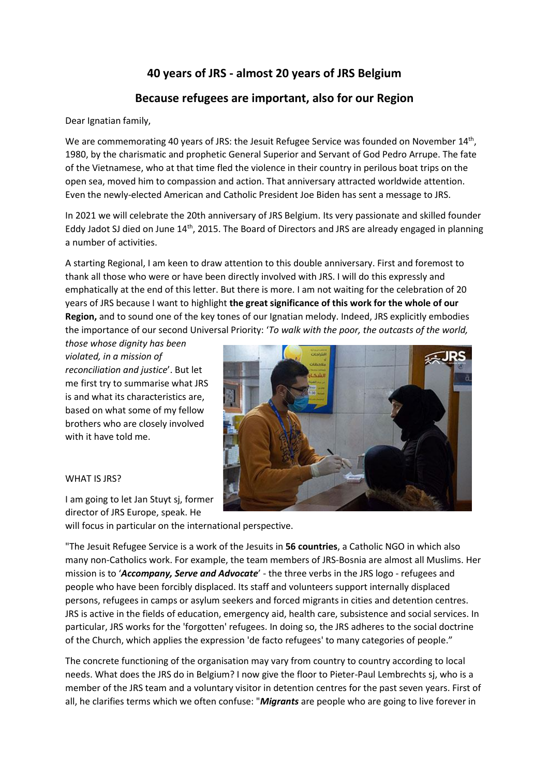# **40 years of JRS - almost 20 years of JRS Belgium**

## **Because refugees are important, also for our Region**

Dear Ignatian family,

We are commemorating 40 years of JRS: the Jesuit Refugee Service was founded on November 14<sup>th</sup>, 1980, by the charismatic and prophetic General Superior and Servant of God Pedro Arrupe. The fate of the Vietnamese, who at that time fled the violence in their country in perilous boat trips on the open sea, moved him to compassion and action. That anniversary attracted worldwide attention. Even the newly-elected American and Catholic President Joe Biden has sent a message to JRS.

In 2021 we will celebrate the 20th anniversary of JRS Belgium. Its very passionate and skilled founder Eddy Jadot SJ died on June 14<sup>th</sup>, 2015. The Board of Directors and JRS are already engaged in planning a number of activities.

A starting Regional, I am keen to draw attention to this double anniversary. First and foremost to thank all those who were or have been directly involved with JRS. I will do this expressly and emphatically at the end of this letter. But there is more. I am not waiting for the celebration of 20 years of JRS because I want to highlight **the great significance of this work for the whole of our Region,** and to sound one of the key tones of our Ignatian melody. Indeed, JRS explicitly embodies the importance of our second Universal Priority: '*To walk with the poor, the outcasts of the world,* 

*those whose dignity has been violated, in a mission of reconciliation and justice*'. But let me first try to summarise what JRS is and what its characteristics are, based on what some of my fellow brothers who are closely involved with it have told me.

#### WHAT IS JRS?

I am going to let Jan Stuyt sj, former director of JRS Europe, speak. He



will focus in particular on the international perspective.

"The Jesuit Refugee Service is a work of the Jesuits in **56 countries**, a Catholic NGO in which also many non-Catholics work. For example, the team members of JRS-Bosnia are almost all Muslims. Her mission is to '*Accompany, Serve and Advocate*' - the three verbs in the JRS logo - refugees and people who have been forcibly displaced. Its staff and volunteers support internally displaced persons, refugees in camps or asylum seekers and forced migrants in cities and detention centres. JRS is active in the fields of education, emergency aid, health care, subsistence and social services. In particular, JRS works for the 'forgotten' refugees. In doing so, the JRS adheres to the social doctrine of the Church, which applies the expression 'de facto refugees' to many categories of people."

The concrete functioning of the organisation may vary from country to country according to local needs. What does the JRS do in Belgium? I now give the floor to Pieter-Paul Lembrechts sj, who is a member of the JRS team and a voluntary visitor in detention centres for the past seven years. First of all, he clarifies terms which we often confuse: "*Migrants* are people who are going to live forever in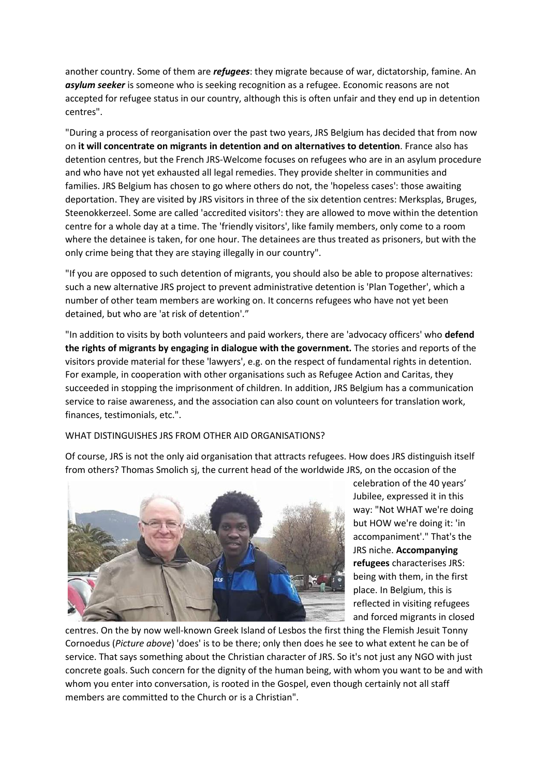another country. Some of them are *refugees*: they migrate because of war, dictatorship, famine. An *asylum seeker* is someone who is seeking recognition as a refugee. Economic reasons are not accepted for refugee status in our country, although this is often unfair and they end up in detention centres".

"During a process of reorganisation over the past two years, JRS Belgium has decided that from now on **it will concentrate on migrants in detention and on alternatives to detention**. France also has detention centres, but the French JRS-Welcome focuses on refugees who are in an asylum procedure and who have not yet exhausted all legal remedies. They provide shelter in communities and families. JRS Belgium has chosen to go where others do not, the 'hopeless cases': those awaiting deportation. They are visited by JRS visitors in three of the six detention centres: Merksplas, Bruges, Steenokkerzeel. Some are called 'accredited visitors': they are allowed to move within the detention centre for a whole day at a time. The 'friendly visitors', like family members, only come to a room where the detainee is taken, for one hour. The detainees are thus treated as prisoners, but with the only crime being that they are staying illegally in our country".

"If you are opposed to such detention of migrants, you should also be able to propose alternatives: such a new alternative JRS project to prevent administrative detention is 'Plan Together', which a number of other team members are working on. It concerns refugees who have not yet been detained, but who are 'at risk of detention'."

"In addition to visits by both volunteers and paid workers, there are 'advocacy officers' who **defend the rights of migrants by engaging in dialogue with the government.** The stories and reports of the visitors provide material for these 'lawyers', e.g. on the respect of fundamental rights in detention. For example, in cooperation with other organisations such as Refugee Action and Caritas, they succeeded in stopping the imprisonment of children. In addition, JRS Belgium has a communication service to raise awareness, and the association can also count on volunteers for translation work, finances, testimonials, etc.".

#### WHAT DISTINGUISHES JRS FROM OTHER AID ORGANISATIONS?

Of course, JRS is not the only aid organisation that attracts refugees. How does JRS distinguish itself from others? Thomas Smolich sj, the current head of the worldwide JRS, on the occasion of the



celebration of the 40 years' Jubilee, expressed it in this way: "Not WHAT we're doing but HOW we're doing it: 'in accompaniment'." That's the JRS niche. **Accompanying refugees** characterises JRS: being with them, in the first place. In Belgium, this is reflected in visiting refugees and forced migrants in closed

centres. On the by now well-known Greek Island of Lesbos the first thing the Flemish Jesuit Tonny Cornoedus (*Picture above*) 'does' is to be there; only then does he see to what extent he can be of service. That says something about the Christian character of JRS. So it's not just any NGO with just concrete goals. Such concern for the dignity of the human being, with whom you want to be and with whom you enter into conversation, is rooted in the Gospel, even though certainly not all staff members are committed to the Church or is a Christian".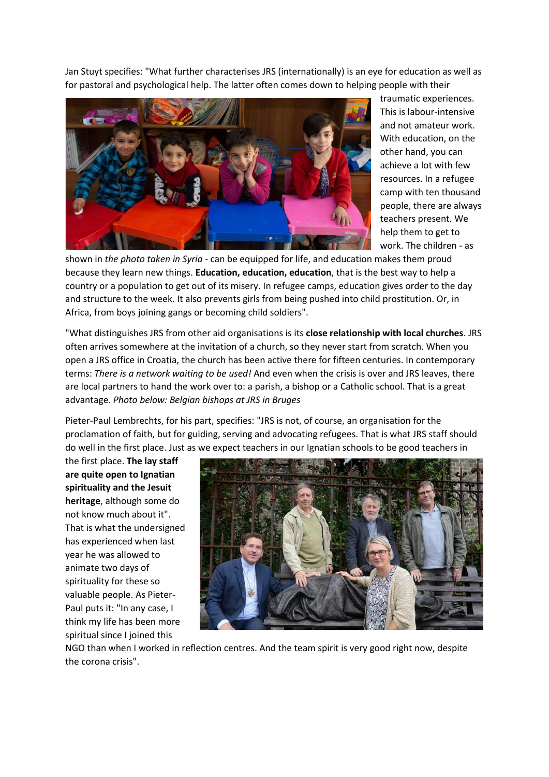Jan Stuyt specifies: "What further characterises JRS (internationally) is an eye for education as well as for pastoral and psychological help. The latter often comes down to helping people with their



traumatic experiences. This is labour-intensive and not amateur work. With education, on the other hand, you can achieve a lot with few resources. In a refugee camp with ten thousand people, there are always teachers present. We help them to get to work. The children - as

shown in *the photo taken in Syria* - can be equipped for life, and education makes them proud because they learn new things. **Education, education, education**, that is the best way to help a country or a population to get out of its misery. In refugee camps, education gives order to the day and structure to the week. It also prevents girls from being pushed into child prostitution. Or, in Africa, from boys joining gangs or becoming child soldiers".

"What distinguishes JRS from other aid organisations is its **close relationship with local churches**. JRS often arrives somewhere at the invitation of a church, so they never start from scratch. When you open a JRS office in Croatia, the church has been active there for fifteen centuries. In contemporary terms: *There is a network waiting to be used!* And even when the crisis is over and JRS leaves, there are local partners to hand the work over to: a parish, a bishop or a Catholic school. That is a great advantage. *Photo below: Belgian bishops at JRS in Bruges*

Pieter-Paul Lembrechts, for his part, specifies: "JRS is not, of course, an organisation for the proclamation of faith, but for guiding, serving and advocating refugees. That is what JRS staff should do well in the first place. Just as we expect teachers in our Ignatian schools to be good teachers in

the first place. **The lay staff are quite open to Ignatian spirituality and the Jesuit heritage**, although some do not know much about it". That is what the undersigned has experienced when last year he was allowed to animate two days of spirituality for these so valuable people. As Pieter-Paul puts it: "In any case, I think my life has been more spiritual since I joined this



NGO than when I worked in reflection centres. And the team spirit is very good right now, despite the corona crisis".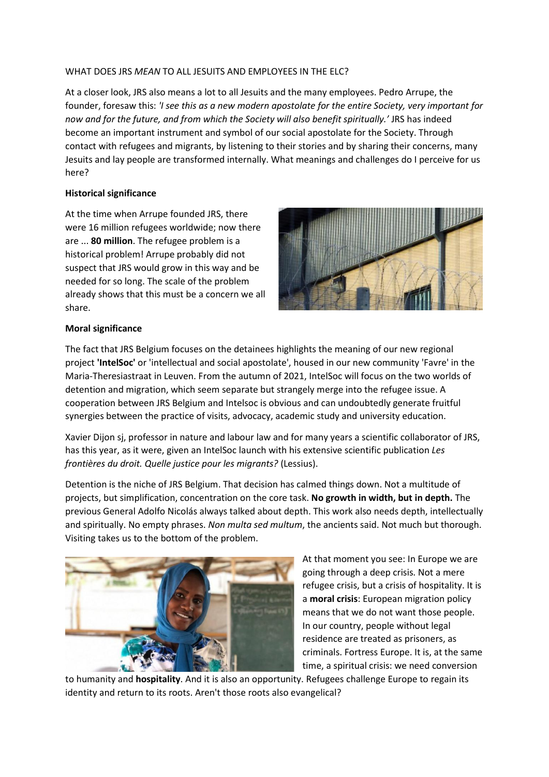#### WHAT DOES JRS *MEAN* TO ALL JESUITS AND EMPLOYEES IN THE ELC?

At a closer look, JRS also means a lot to all Jesuits and the many employees. Pedro Arrupe, the founder, foresaw this: *'I see this as a new modern apostolate for the entire Society, very important for now and for the future, and from which the Society will also benefit spiritually.'* JRS has indeed become an important instrument and symbol of our social apostolate for the Society. Through contact with refugees and migrants, by listening to their stories and by sharing their concerns, many Jesuits and lay people are transformed internally. What meanings and challenges do I perceive for us here?

#### **Historical significance**

At the time when Arrupe founded JRS, there were 16 million refugees worldwide; now there are ... **80 million**. The refugee problem is a historical problem! Arrupe probably did not suspect that JRS would grow in this way and be needed for so long. The scale of the problem already shows that this must be a concern we all share.



#### **Moral significance**

The fact that JRS Belgium focuses on the detainees highlights the meaning of our new regional project **'IntelSoc'** or 'intellectual and social apostolate', housed in our new community 'Favre' in the Maria-Theresiastraat in Leuven. From the autumn of 2021, IntelSoc will focus on the two worlds of detention and migration, which seem separate but strangely merge into the refugee issue. A cooperation between JRS Belgium and Intelsoc is obvious and can undoubtedly generate fruitful synergies between the practice of visits, advocacy, academic study and university education.

Xavier Dijon sj, professor in nature and labour law and for many years a scientific collaborator of JRS, has this year, as it were, given an IntelSoc launch with his extensive scientific publication *Les frontières du droit. Quelle justice pour les migrants?* (Lessius).

Detention is the niche of JRS Belgium. That decision has calmed things down. Not a multitude of projects, but simplification, concentration on the core task. **No growth in width, but in depth.** The previous General Adolfo Nicolás always talked about depth. This work also needs depth, intellectually and spiritually. No empty phrases. *Non multa sed multum*, the ancients said. Not much but thorough. Visiting takes us to the bottom of the problem.



At that moment you see: In Europe we are going through a deep crisis. Not a mere refugee crisis, but a crisis of hospitality. It is a **moral crisis**: European migration policy means that we do not want those people. In our country, people without legal residence are treated as prisoners, as criminals. Fortress Europe. It is, at the same time, a spiritual crisis: we need conversion

to humanity and **hospitality**. And it is also an opportunity. Refugees challenge Europe to regain its identity and return to its roots. Aren't those roots also evangelical?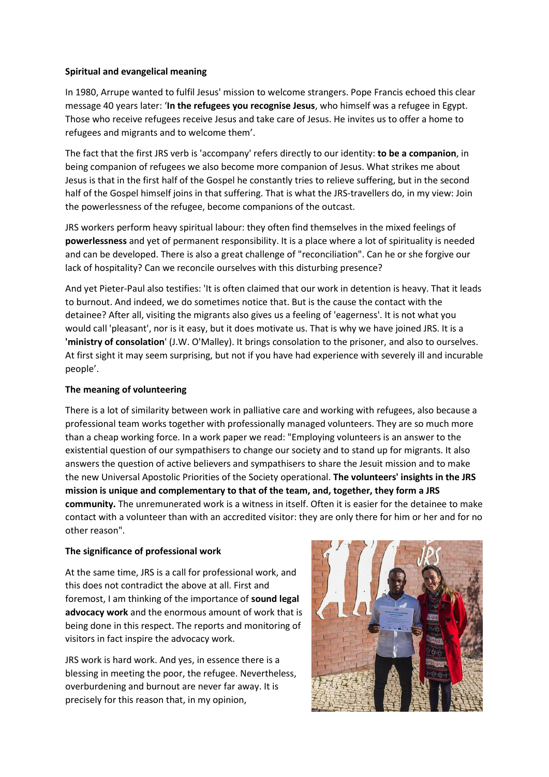#### **Spiritual and evangelical meaning**

In 1980, Arrupe wanted to fulfil Jesus' mission to welcome strangers. Pope Francis echoed this clear message 40 years later: '**In the refugees you recognise Jesus**, who himself was a refugee in Egypt. Those who receive refugees receive Jesus and take care of Jesus. He invites us to offer a home to refugees and migrants and to welcome them'.

The fact that the first JRS verb is 'accompany' refers directly to our identity: **to be a companion**, in being companion of refugees we also become more companion of Jesus. What strikes me about Jesus is that in the first half of the Gospel he constantly tries to relieve suffering, but in the second half of the Gospel himself joins in that suffering. That is what the JRS-travellers do, in my view: Join the powerlessness of the refugee, become companions of the outcast.

JRS workers perform heavy spiritual labour: they often find themselves in the mixed feelings of **powerlessness** and yet of permanent responsibility. It is a place where a lot of spirituality is needed and can be developed. There is also a great challenge of "reconciliation". Can he or she forgive our lack of hospitality? Can we reconcile ourselves with this disturbing presence?

And yet Pieter-Paul also testifies: 'It is often claimed that our work in detention is heavy. That it leads to burnout. And indeed, we do sometimes notice that. But is the cause the contact with the detainee? After all, visiting the migrants also gives us a feeling of 'eagerness'. It is not what you would call 'pleasant', nor is it easy, but it does motivate us. That is why we have joined JRS. It is a **'ministry of consolation**' (J.W. O'Malley). It brings consolation to the prisoner, and also to ourselves. At first sight it may seem surprising, but not if you have had experience with severely ill and incurable people'.

#### **The meaning of volunteering**

There is a lot of similarity between work in palliative care and working with refugees, also because a professional team works together with professionally managed volunteers. They are so much more than a cheap working force. In a work paper we read: "Employing volunteers is an answer to the existential question of our sympathisers to change our society and to stand up for migrants. It also answers the question of active believers and sympathisers to share the Jesuit mission and to make the new Universal Apostolic Priorities of the Society operational. **The volunteers' insights in the JRS mission is unique and complementary to that of the team, and, together, they form a JRS community.** The unremunerated work is a witness in itself. Often it is easier for the detainee to make contact with a volunteer than with an accredited visitor: they are only there for him or her and for no other reason".

#### **The significance of professional work**

At the same time, JRS is a call for professional work, and this does not contradict the above at all. First and foremost, I am thinking of the importance of **sound legal advocacy work** and the enormous amount of work that is being done in this respect. The reports and monitoring of visitors in fact inspire the advocacy work.

JRS work is hard work. And yes, in essence there is a blessing in meeting the poor, the refugee. Nevertheless, overburdening and burnout are never far away. It is precisely for this reason that, in my opinion,

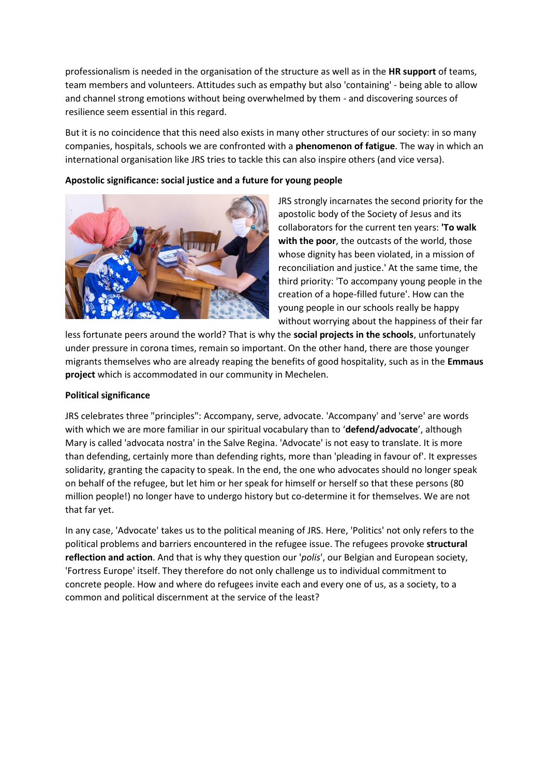professionalism is needed in the organisation of the structure as well as in the **HR support** of teams, team members and volunteers. Attitudes such as empathy but also 'containing' - being able to allow and channel strong emotions without being overwhelmed by them - and discovering sources of resilience seem essential in this regard.

But it is no coincidence that this need also exists in many other structures of our society: in so many companies, hospitals, schools we are confronted with a **phenomenon of fatigue**. The way in which an international organisation like JRS tries to tackle this can also inspire others (and vice versa).

### **Apostolic significance: social justice and a future for young people**



JRS strongly incarnates the second priority for the apostolic body of the Society of Jesus and its collaborators for the current ten years: **'To walk with the poor**, the outcasts of the world, those whose dignity has been violated, in a mission of reconciliation and justice.' At the same time, the third priority: 'To accompany young people in the creation of a hope-filled future'. How can the young people in our schools really be happy without worrying about the happiness of their far

less fortunate peers around the world? That is why the **social projects in the schools**, unfortunately under pressure in corona times, remain so important. On the other hand, there are those younger migrants themselves who are already reaping the benefits of good hospitality, such as in the **Emmaus project** which is accommodated in our community in Mechelen.

#### **Political significance**

JRS celebrates three "principles": Accompany, serve, advocate. 'Accompany' and 'serve' are words with which we are more familiar in our spiritual vocabulary than to '**defend/advocate**', although Mary is called 'advocata nostra' in the Salve Regina. 'Advocate' is not easy to translate. It is more than defending, certainly more than defending rights, more than 'pleading in favour of'. It expresses solidarity, granting the capacity to speak. In the end, the one who advocates should no longer speak on behalf of the refugee, but let him or her speak for himself or herself so that these persons (80 million people!) no longer have to undergo history but co-determine it for themselves. We are not that far yet.

In any case, 'Advocate' takes us to the political meaning of JRS. Here, 'Politics' not only refers to the political problems and barriers encountered in the refugee issue. The refugees provoke **structural reflection and action**. And that is why they question our '*polis*', our Belgian and European society, 'Fortress Europe' itself. They therefore do not only challenge us to individual commitment to concrete people. How and where do refugees invite each and every one of us, as a society, to a common and political discernment at the service of the least?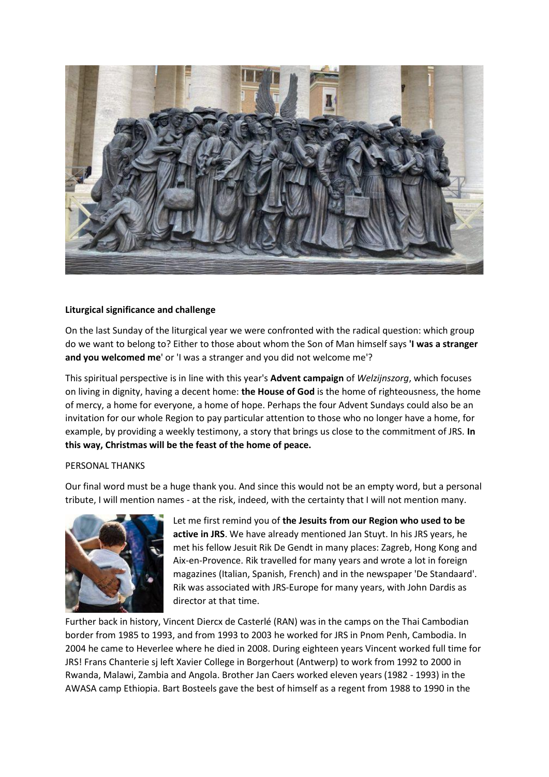

#### **Liturgical significance and challenge**

On the last Sunday of the liturgical year we were confronted with the radical question: which group do we want to belong to? Either to those about whom the Son of Man himself says **'I was a stranger and you welcomed me**' or 'I was a stranger and you did not welcome me'?

This spiritual perspective is in line with this year's **Advent campaign** of *Welzijnszorg*, which focuses on living in dignity, having a decent home: **the House of God** is the home of righteousness, the home of mercy, a home for everyone, a home of hope. Perhaps the four Advent Sundays could also be an invitation for our whole Region to pay particular attention to those who no longer have a home, for example, by providing a weekly testimony, a story that brings us close to the commitment of JRS. **In this way, Christmas will be the feast of the home of peace.**

#### PERSONAL THANKS

Our final word must be a huge thank you. And since this would not be an empty word, but a personal tribute, I will mention names - at the risk, indeed, with the certainty that I will not mention many.



Let me first remind you of **the Jesuits from our Region who used to be active in JRS**. We have already mentioned Jan Stuyt. In his JRS years, he met his fellow Jesuit Rik De Gendt in many places: Zagreb, Hong Kong and Aix-en-Provence. Rik travelled for many years and wrote a lot in foreign magazines (Italian, Spanish, French) and in the newspaper 'De Standaard'. Rik was associated with JRS-Europe for many years, with John Dardis as director at that time.

Further back in history, Vincent Diercx de Casterlé (RAN) was in the camps on the Thai Cambodian border from 1985 to 1993, and from 1993 to 2003 he worked for JRS in Pnom Penh, Cambodia. In 2004 he came to Heverlee where he died in 2008. During eighteen years Vincent worked full time for JRS! Frans Chanterie sj left Xavier College in Borgerhout (Antwerp) to work from 1992 to 2000 in Rwanda, Malawi, Zambia and Angola. Brother Jan Caers worked eleven years (1982 - 1993) in the AWASA camp Ethiopia. Bart Bosteels gave the best of himself as a regent from 1988 to 1990 in the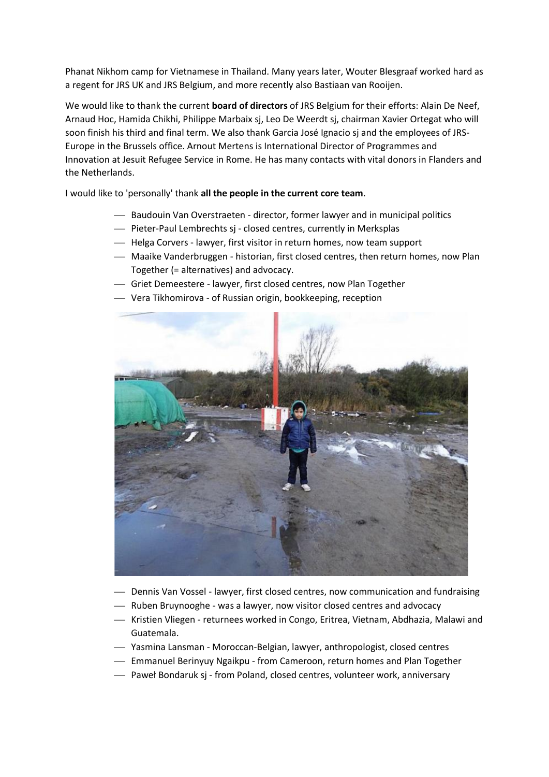Phanat Nikhom camp for Vietnamese in Thailand. Many years later, Wouter Blesgraaf worked hard as a regent for JRS UK and JRS Belgium, and more recently also Bastiaan van Rooijen.

We would like to thank the current **board of directors** of JRS Belgium for their efforts: Alain De Neef, Arnaud Hoc, Hamida Chikhi, Philippe Marbaix sj, Leo De Weerdt sj, chairman Xavier Ortegat who will soon finish his third and final term. We also thank Garcia José Ignacio sj and the employees of JRS-Europe in the Brussels office. Arnout Mertens is International Director of Programmes and Innovation at Jesuit Refugee Service in Rome. He has many contacts with vital donors in Flanders and the Netherlands.

I would like to 'personally' thank **all the people in the current core team**.

- ⎯ Baudouin Van Overstraeten director, former lawyer and in municipal politics
- Pieter-Paul Lembrechts sj closed centres, currently in Merksplas
- $-$  Helga Corvers lawyer, first visitor in return homes, now team support
- Maaike Vanderbruggen historian, first closed centres, then return homes, now Plan Together (= alternatives) and advocacy.
- ⎯ Griet Demeestere lawyer, first closed centres, now Plan Together
- ⎯ Vera Tikhomirova of Russian origin, bookkeeping, reception



- ⎯ Dennis Van Vossel lawyer, first closed centres, now communication and fundraising
- Ruben Bruynooghe was a lawyer, now visitor closed centres and advocacy
- ⎯ Kristien Vliegen returnees worked in Congo, Eritrea, Vietnam, Abdhazia, Malawi and Guatemala.
- ⎯ Yasmina Lansman Moroccan-Belgian, lawyer, anthropologist, closed centres
- Emmanuel Berinyuy Ngaikpu from Cameroon, return homes and Plan Together
- Paweł Bondaruk sj from Poland, closed centres, volunteer work, anniversary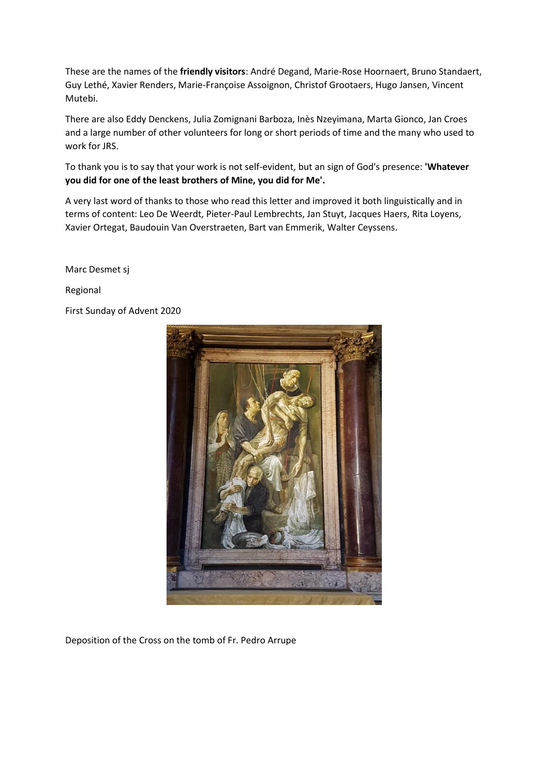These are the names of the **friendly visitors**: André Degand, Marie-Rose Hoornaert, Bruno Standaert, Guy Lethé, Xavier Renders, Marie-Françoise Assoignon, Christof Grootaers, Hugo Jansen, Vincent Mutebi.

There are also Eddy Denckens, Julia Zomignani Barboza, Inès Nzeyimana, Marta Gionco, Jan Croes and a large number of other volunteers for long or short periods of time and the many who used to work for JRS.

To thank you is to say that your work is not self-evident, but an sign of God's presence: **'Whatever you did for one of the least brothers of Mine, you did for Me'.**

A very last word of thanks to those who read this letter and improved it both linguistically and in terms of content: Leo De Weerdt, Pieter-Paul Lembrechts, Jan Stuyt, Jacques Haers, Rita Loyens, Xavier Ortegat, Baudouin Van Overstraeten, Bart van Emmerik, Walter Ceyssens.

Marc Desmet sj

Regional

First Sunday of Advent 2020



Deposition of the Cross on the tomb of Fr. Pedro Arrupe